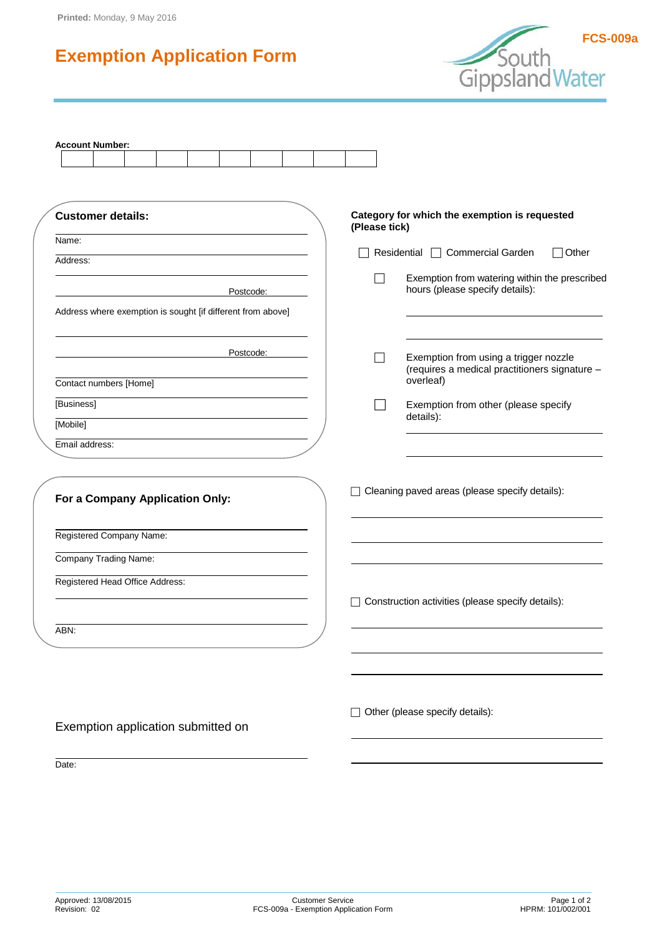# **Exemption Application Form**



| <b>Account Number:</b>                                      |                                                            |
|-------------------------------------------------------------|------------------------------------------------------------|
|                                                             |                                                            |
| <b>Customer details:</b>                                    | Category for which the exemption is requested              |
|                                                             | (Please tick)                                              |
| Name:                                                       | Residential □ Commercial Garden<br>1Other                  |
| Address:                                                    | Exemption from watering within the prescribed              |
| Postcode:                                                   | hours (please specify details):                            |
| Address where exemption is sought [if different from above] |                                                            |
| Postcode:                                                   | Exemption from using a trigger nozzle                      |
| Contact numbers [Home]                                      | (requires a medical practitioners signature -<br>overleaf) |
| [Business]                                                  | Exemption from other (please specify                       |
| [Mobile]                                                    | details):                                                  |
| Email address:                                              |                                                            |
| For a Company Application Only:                             | Cleaning paved areas (please specify details):             |
| Registered Company Name:                                    |                                                            |
| Company Trading Name:                                       |                                                            |
| Registered Head Office Address:                             | Construction activities (please specify details):          |
| ABN:                                                        |                                                            |
|                                                             |                                                            |
| Exemption application submitted on                          | Other (please specify details):                            |
| Date:                                                       |                                                            |
|                                                             |                                                            |